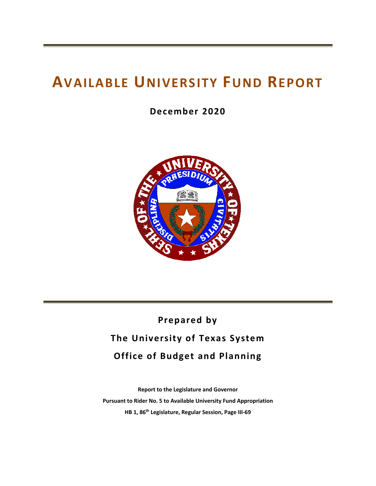# **AVAILABLE UNIVERSITY FUND REPORT**

**December 2020**



## **Prepared by The University of Texas System Office of Budget and Planning**

**Report to the Legislature and Governor Pursuant to Rider No. 5 to Available University Fund Appropriation HB 1, 86th Legislature, Regular Session, Page III‐69**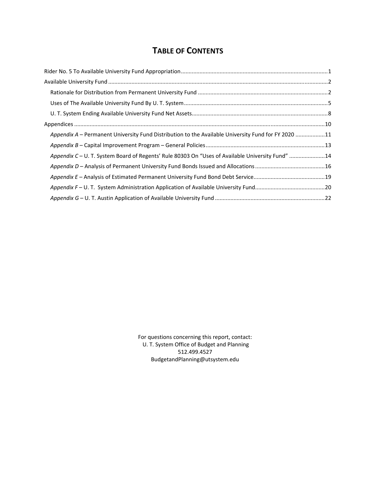## **TABLE OF CONTENTS**

| Appendix A – Permanent University Fund Distribution to the Available University Fund for FY 2020 11 |  |
|-----------------------------------------------------------------------------------------------------|--|
|                                                                                                     |  |
| Appendix C - U. T. System Board of Regents' Rule 80303 On "Uses of Available University Fund" 14    |  |
|                                                                                                     |  |
|                                                                                                     |  |
|                                                                                                     |  |
|                                                                                                     |  |

For questions concerning this report, contact: U. T. System Office of Budget and Planning 512.499.4527 BudgetandPlanning@utsystem.edu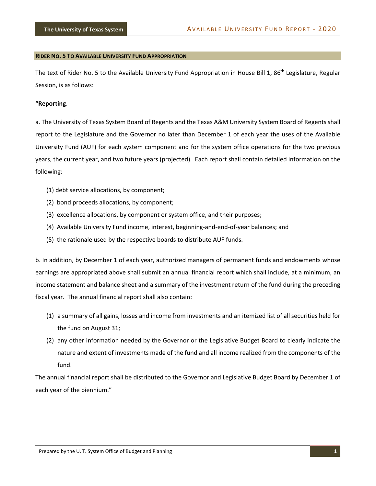#### **RIDER NO. 5 TO AVAILABLE UNIVERSITY FUND APPROPRIATION**

The text of Rider No. 5 to the Available University Fund Appropriation in House Bill 1, 86<sup>th</sup> Legislature, Regular Session, is as follows:

#### **"Reporting**.

a. The University of Texas System Board of Regents and the Texas A&M University System Board of Regents shall report to the Legislature and the Governor no later than December 1 of each year the uses of the Available University Fund (AUF) for each system component and for the system office operations for the two previous years, the current year, and two future years (projected). Each report shall contain detailed information on the following:

- (1) debt service allocations, by component;
- (2) bond proceeds allocations, by component;
- (3) excellence allocations, by component or system office, and their purposes;
- (4) Available University Fund income, interest, beginning‐and‐end‐of‐year balances; and
- (5) the rationale used by the respective boards to distribute AUF funds.

b. In addition, by December 1 of each year, authorized managers of permanent funds and endowments whose earnings are appropriated above shall submit an annual financial report which shall include, at a minimum, an income statement and balance sheet and a summary of the investment return of the fund during the preceding fiscal year. The annual financial report shall also contain:

- (1) a summary of all gains, losses and income from investments and an itemized list of all securities held for the fund on August 31;
- (2) any other information needed by the Governor or the Legislative Budget Board to clearly indicate the nature and extent of investments made of the fund and all income realized from the components of the fund.

The annual financial report shall be distributed to the Governor and Legislative Budget Board by December 1 of each year of the biennium."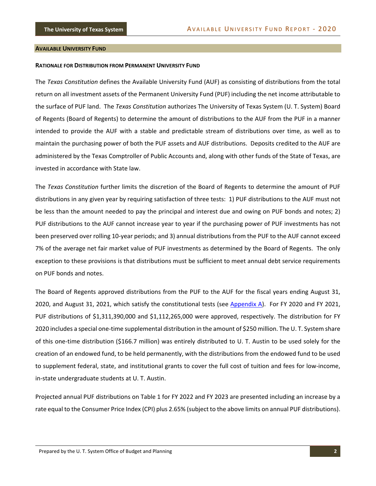#### **AVAILABLE UNIVERSITY FUND**

#### **RATIONALE FOR DISTRIBUTION FROM PERMANENT UNIVERSITY FUND**

The *Texas Constitution* defines the Available University Fund (AUF) as consisting of distributions from the total return on all investment assets of the Permanent University Fund (PUF) including the net income attributable to the surface of PUF land. The *Texas Constitution* authorizes The University of Texas System (U. T. System) Board of Regents (Board of Regents) to determine the amount of distributions to the AUF from the PUF in a manner intended to provide the AUF with a stable and predictable stream of distributions over time, as well as to maintain the purchasing power of both the PUF assets and AUF distributions. Deposits credited to the AUF are administered by the Texas Comptroller of Public Accounts and, along with other funds of the State of Texas, are invested in accordance with State law.

The *Texas Constitution* further limits the discretion of the Board of Regents to determine the amount of PUF distributions in any given year by requiring satisfaction of three tests: 1) PUF distributions to the AUF must not be less than the amount needed to pay the principal and interest due and owing on PUF bonds and notes; 2) PUF distributions to the AUF cannot increase year to year if the purchasing power of PUF investments has not been preserved over rolling 10‐year periods; and 3) annual distributions from the PUF to the AUF cannot exceed 7% of the average net fair market value of PUF investments as determined by the Board of Regents. The only exception to these provisions is that distributions must be sufficient to meet annual debt service requirements on PUF bonds and notes.

The Board of Regents approved distributions from the PUF to the AUF for the fiscal years ending August 31, 2020, and August 31, 2021, which satisfy the constitutional tests (see Appendix A). For FY 2020 and FY 2021, PUF distributions of \$1,311,390,000 and \$1,112,265,000 were approved, respectively. The distribution for FY 2020 includes a special one‐time supplemental distribution in the amount of \$250 million. The U. T. System share of this one‐time distribution (\$166.7 million) was entirely distributed to U. T. Austin to be used solely for the creation of an endowed fund, to be held permanently, with the distributions from the endowed fund to be used to supplement federal, state, and institutional grants to cover the full cost of tuition and fees for low‐income, in‐state undergraduate students at U. T. Austin.

Projected annual PUF distributions on Table 1 for FY 2022 and FY 2023 are presented including an increase by a rate equal to the Consumer Price Index (CPI) plus 2.65% (subject to the above limits on annual PUF distributions).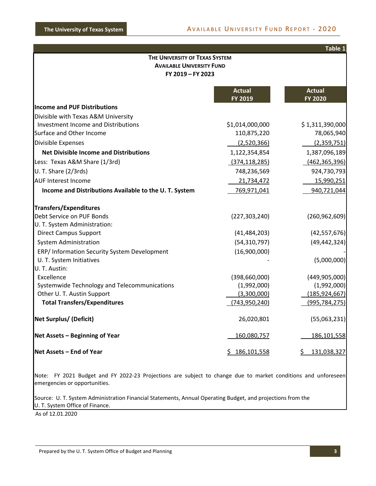|                                                                                         |                          | Table 1                         |  |  |  |
|-----------------------------------------------------------------------------------------|--------------------------|---------------------------------|--|--|--|
| THE UNIVERSITY OF TEXAS SYSTEM<br><b>AVAILABLE UNIVERSITY FUND</b><br>FY 2019 - FY 2023 |                          |                                 |  |  |  |
|                                                                                         | <b>Actual</b><br>FY 2019 | <b>Actual</b><br><b>FY 2020</b> |  |  |  |
| <b>Income and PUF Distributions</b>                                                     |                          |                                 |  |  |  |
| Divisible with Texas A&M University                                                     |                          |                                 |  |  |  |
| <b>Investment Income and Distributions</b>                                              | \$1,014,000,000          | \$1,311,390,000                 |  |  |  |
| Surface and Other Income                                                                | 110,875,220              | 78,065,940                      |  |  |  |
| Divisible Expenses                                                                      | (2,520,366)              | (2,359,751)                     |  |  |  |
| <b>Net Divisible Income and Distributions</b>                                           | 1,122,354,854            | 1,387,096,189                   |  |  |  |
| Less: Texas A&M Share (1/3rd)                                                           | (374, 118, 285)          | (462, 365, 396)                 |  |  |  |
| U. T. Share (2/3rds)                                                                    | 748,236,569              | 924,730,793                     |  |  |  |
| <b>AUF Interest Income</b>                                                              | 21,734,472               | 15,990,251                      |  |  |  |
| Income and Distributions Available to the U.T. System                                   | 769,971,041              | 940,721,044                     |  |  |  |
| Transfers/Expenditures                                                                  |                          |                                 |  |  |  |
| Debt Service on PUF Bonds                                                               | (227, 303, 240)          | (260, 962, 609)                 |  |  |  |
| U. T. System Administration:                                                            |                          |                                 |  |  |  |
| <b>Direct Campus Support</b>                                                            | (41, 484, 203)           | (42, 557, 676)                  |  |  |  |
| <b>System Administration</b>                                                            | (54, 310, 797)           | (49, 442, 324)                  |  |  |  |
| ERP/ Information Security System Development                                            | (16,900,000)             |                                 |  |  |  |
| U. T. System Initiatives<br>U. T. Austin:                                               |                          | (5,000,000)                     |  |  |  |
| Excellence                                                                              | (398, 660, 000)          | (449, 905, 000)                 |  |  |  |
| Systemwide Technology and Telecommunications                                            | (1,992,000)              | (1,992,000)                     |  |  |  |
| Other U. T. Austin Support                                                              | (3,300,000)              | (185, 924, 667)                 |  |  |  |
| <b>Total Transfers/Expenditures</b>                                                     | (743, 950, 240)          | (995, 784, 275)                 |  |  |  |
| Net Surplus/ (Deficit)                                                                  | 26,020,801               | (55,063,231)                    |  |  |  |
| Net Assets - Beginning of Year                                                          | 160,080,757              | 186,101,558                     |  |  |  |
| Net Assets – End of Year                                                                | \$186,101,558            | \$131,038,327                   |  |  |  |

Note: FY 2021 Budget and FY 2022-23 Projections are subject to change due to market conditions and unforeseen emergencies or opportunities.

Source: U. T. System Administration Financial Statements, Annual Operating Budget, and projections from the U. T. System Office of Finance.

As of 12.01.2020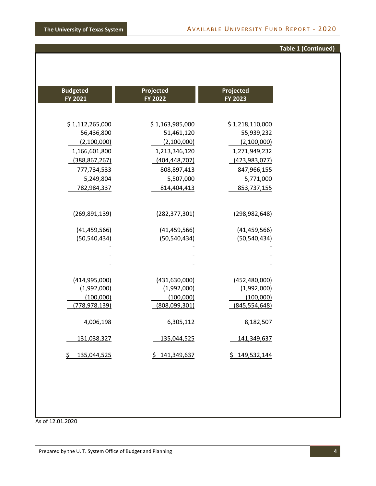## **Table 1 (Continued)**

| <b>Budgeted</b><br>FY 2021 | Projected<br>FY 2022 | Projected<br>FY 2023 |
|----------------------------|----------------------|----------------------|
|                            |                      |                      |
| \$1,112,265,000            | \$1,163,985,000      | \$1,218,110,000      |
| 56,436,800                 | 51,461,120           | 55,939,232           |
| (2,100,000)                | (2,100,000)          | (2,100,000)          |
| 1,166,601,800              | 1,213,346,120        | 1,271,949,232        |
| (388, 867, 267)            | (404, 448, 707)      | (423, 983, 077)      |
| 777,734,533                | 808,897,413          | 847,966,155          |
| 5,249,804                  | 5,507,000            | 5,771,000            |
| 782,984,337                | 814,404,413          | 853,737,155          |
|                            |                      |                      |
|                            |                      |                      |
| (269, 891, 139)            | (282, 377, 301)      | (298, 982, 648)      |
| (41, 459, 566)             | (41, 459, 566)       | (41, 459, 566)       |
| (50, 540, 434)             | (50, 540, 434)       | (50, 540, 434)       |
|                            |                      |                      |
|                            |                      |                      |
|                            |                      |                      |
|                            |                      |                      |
| (414, 995, 000)            | (431, 630, 000)      | (452, 480, 000)      |
| (1,992,000)                | (1,992,000)          | (1,992,000)          |
| (100,000)                  | (100,000)            | (100,000)            |
| (778,978,139)              | (808,099,301)        | (845, 554, 648)      |
| 4,006,198                  | 6,305,112            | 8,182,507            |
|                            |                      |                      |
| 131,038,327                | 135,044,525          | 141,349,637          |
| 135,044,525<br>\$          | \$141,349,637        | \$149,532,144        |
|                            |                      |                      |

As of 12.01.2020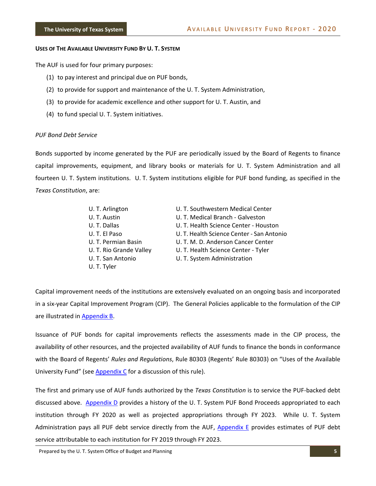#### **USES OF THE AVAILABLE UNIVERSITY FUND BY U. T. SYSTEM**

The AUF is used for four primary purposes:

- (1) to pay interest and principal due on PUF bonds,
- (2) to provide for support and maintenance of the U. T. System Administration,
- (3) to provide for academic excellence and other support for U. T. Austin, and
- (4) to fund special U. T. System initiatives.

#### *PUF Bond Debt Service*

Bonds supported by income generated by the PUF are periodically issued by the Board of Regents to finance capital improvements, equipment, and library books or materials for U. T. System Administration and all fourteen U. T. System institutions. U. T. System institutions eligible for PUF bond funding, as specified in the *Texas Constitution*, are:

| U. T. Arlington         | U. T. Southwestern Medical Center         |
|-------------------------|-------------------------------------------|
| U. T. Austin            | U. T. Medical Branch - Galveston          |
| U.T. Dallas             | U. T. Health Science Center - Houston     |
| U. T. El Paso           | U. T. Health Science Center - San Antonio |
| U. T. Permian Basin     | U. T. M. D. Anderson Cancer Center        |
| U. T. Rio Grande Valley | U. T. Health Science Center - Tyler       |
| U. T. San Antonio       | U. T. System Administration               |
| U. T. Tyler             |                                           |

Capital improvement needs of the institutions are extensively evaluated on an ongoing basis and incorporated in a six‐year Capital Improvement Program (CIP). The General Policies applicable to the formulation of the CIP are illustrated in Appendix B.

Issuance of PUF bonds for capital improvements reflects the assessments made in the CIP process, the availability of other resources, and the projected availability of AUF funds to finance the bonds in conformance with the Board of Regents' *Rules and Regulations*, Rule 80303 (Regents' Rule 80303) on "Uses of the Available University Fund" (see Appendix C for a discussion of this rule).

The first and primary use of AUF funds authorized by the *Texas Constitution* is to service the PUF‐backed debt discussed above. Appendix D provides a history of the U. T. System PUF Bond Proceeds appropriated to each institution through FY 2020 as well as projected appropriations through FY 2023. While U. T. System Administration pays all PUF debt service directly from the AUF, Appendix E provides estimates of PUF debt service attributable to each institution for FY 2019 through FY 2023.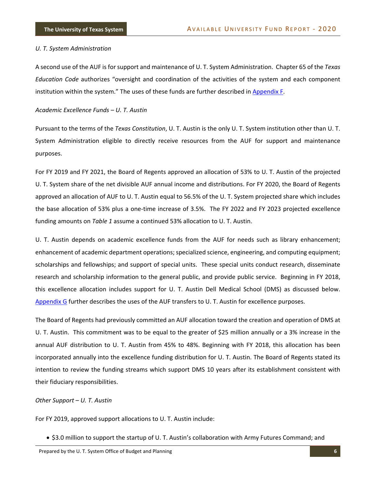#### *U. T. System Administration*

A second use of the AUF is for support and maintenance of U. T. System Administration. Chapter 65 of the *Texas Education Code* authorizes "oversight and coordination of the activities of the system and each component institution within the system." The uses of these funds are further described in Appendix F.

*Academic Excellence Funds – U. T. Austin*

Pursuant to the terms of the *Texas Constitution*, U. T. Austin is the only U. T. System institution other than U. T. System Administration eligible to directly receive resources from the AUF for support and maintenance purposes.

For FY 2019 and FY 2021, the Board of Regents approved an allocation of 53% to U. T. Austin of the projected U. T. System share of the net divisible AUF annual income and distributions. For FY 2020, the Board of Regents approved an allocation of AUF to U. T. Austin equal to 56.5% of the U. T. System projected share which includes the base allocation of 53% plus a one‐time increase of 3.5%. The FY 2022 and FY 2023 projected excellence funding amounts on *Table 1* assume a continued 53% allocation to U. T. Austin.

U. T. Austin depends on academic excellence funds from the AUF for needs such as library enhancement; enhancement of academic department operations; specialized science, engineering, and computing equipment; scholarships and fellowships; and support of special units. These special units conduct research, disseminate research and scholarship information to the general public, and provide public service. Beginning in FY 2018, this excellence allocation includes support for U. T. Austin Dell Medical School (DMS) as discussed below. Appendix G further describes the uses of the AUF transfers to U. T. Austin for excellence purposes.

The Board of Regents had previously committed an AUF allocation toward the creation and operation of DMS at U. T. Austin. This commitment was to be equal to the greater of \$25 million annually or a 3% increase in the annual AUF distribution to U. T. Austin from 45% to 48%. Beginning with FY 2018, this allocation has been incorporated annually into the excellence funding distribution for U. T. Austin. The Board of Regents stated its intention to review the funding streams which support DMS 10 years after its establishment consistent with their fiduciary responsibilities.

#### *Other Support – U. T. Austin*

For FY 2019, approved support allocations to U. T. Austin include:

• \$3.0 million to support the startup of U. T. Austin's collaboration with Army Futures Command; and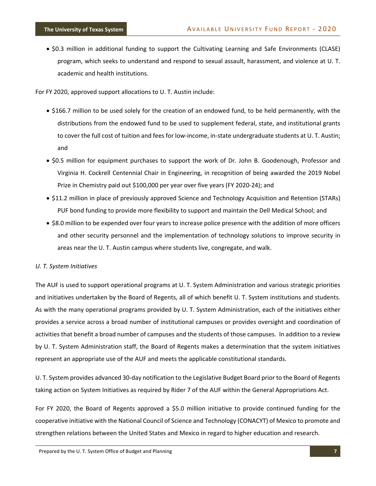\$0.3 million in additional funding to support the Cultivating Learning and Safe Environments (CLASE) program, which seeks to understand and respond to sexual assault, harassment, and violence at U. T. academic and health institutions.

For FY 2020, approved support allocations to U. T. Austin include:

- \$166.7 million to be used solely for the creation of an endowed fund, to be held permanently, with the distributions from the endowed fund to be used to supplement federal, state, and institutional grants to cover the full cost of tuition and fees for low‐income, in‐state undergraduate students at U. T. Austin; and
- \$0.5 million for equipment purchases to support the work of Dr. John B. Goodenough, Professor and Virginia H. Cockrell Centennial Chair in Engineering, in recognition of being awarded the 2019 Nobel Prize in Chemistry paid out \$100,000 per year over five years (FY 2020‐24); and
- \$11.2 million in place of previously approved Science and Technology Acquisition and Retention (STARs) PUF bond funding to provide more flexibility to support and maintain the Dell Medical School; and
- \$8.0 million to be expended over four years to increase police presence with the addition of more officers and other security personnel and the implementation of technology solutions to improve security in areas near the U. T. Austin campus where students live, congregate, and walk.

#### *U. T. System Initiatives*

The AUF is used to support operational programs at U. T. System Administration and various strategic priorities and initiatives undertaken by the Board of Regents, all of which benefit U. T. System institutions and students. As with the many operational programs provided by U. T. System Administration, each of the initiatives either provides a service across a broad number of institutional campuses or provides oversight and coordination of activities that benefit a broad number of campuses and the students of those campuses. In addition to a review by U. T. System Administration staff, the Board of Regents makes a determination that the system initiatives represent an appropriate use of the AUF and meets the applicable constitutional standards.

U. T. System provides advanced 30‐day notification to the Legislative Budget Board prior to the Board of Regents taking action on System Initiatives as required by Rider 7 of the AUF within the General Appropriations Act.

For FY 2020, the Board of Regents approved a \$5.0 million initiative to provide continued funding for the cooperative initiative with the National Council of Science and Technology (CONACYT) of Mexico to promote and strengthen relations between the United States and Mexico in regard to higher education and research.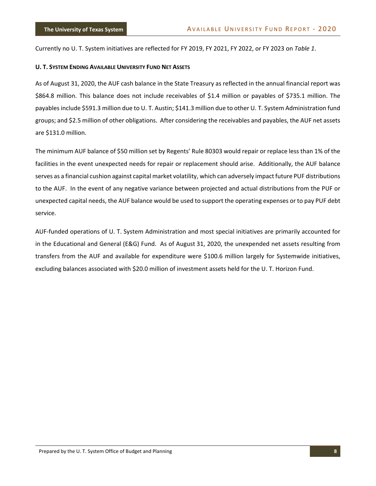Currently no U. T. System initiatives are reflected for FY 2019, FY 2021, FY 2022, or FY 2023 on *Table 1*.

#### **U. T. SYSTEM ENDING AVAILABLE UNIVERSITY FUND NET ASSETS**

As of August 31, 2020, the AUF cash balance in the State Treasury as reflected in the annual financial report was \$864.8 million. This balance does not include receivables of \$1.4 million or payables of \$735.1 million. The payablesinclude \$591.3 million due to U. T. Austin; \$141.3 million due to other U. T. System Administration fund groups; and \$2.5 million of other obligations. After considering the receivables and payables, the AUF net assets are \$131.0 million.

The minimum AUF balance of \$50 million set by Regents' Rule 80303 would repair or replace less than 1% of the facilities in the event unexpected needs for repair or replacement should arise. Additionally, the AUF balance serves as a financial cushion against capital market volatility, which can adversely impact future PUF distributions to the AUF. In the event of any negative variance between projected and actual distributions from the PUF or unexpected capital needs, the AUF balance would be used to support the operating expenses or to pay PUF debt service.

AUF‐funded operations of U. T. System Administration and most special initiatives are primarily accounted for in the Educational and General (E&G) Fund. As of August 31, 2020, the unexpended net assets resulting from transfers from the AUF and available for expenditure were \$100.6 million largely for Systemwide initiatives, excluding balances associated with \$20.0 million of investment assets held for the U. T. Horizon Fund.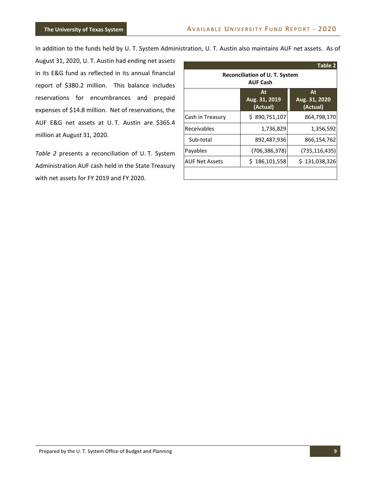In addition to the funds held by U. T. System Administration, U. T. Austin also maintains AUF net assets. As of

August 31, 2020, U. T. Austin had ending net assets in its E&G fund as reflected in its annual financial report of \$380.2 million. This balance includes reservations for encumbrances and prepaid expenses of \$14.8 million. Net of reservations, the AUF E&G net assets at U. T. Austin are \$365.4 million at August 31, 2020.

*Table 2* presents a reconciliation of U. T. System Administration AUF cash held in the State Treasury with net assets for FY 2019 and FY 2020.

|                                                          |                                 | Table 2                         |  |  |  |  |
|----------------------------------------------------------|---------------------------------|---------------------------------|--|--|--|--|
| <b>Reconciliation of U. T. System</b><br><b>AUF Cash</b> |                                 |                                 |  |  |  |  |
|                                                          | At<br>Aug. 31, 2019<br>(Actual) | At<br>Aug. 31, 2020<br>(Actual) |  |  |  |  |
| Cash in Treasury                                         | \$890,751,107                   | 864,798,170                     |  |  |  |  |
| Receivables                                              | 1,736,829                       | 1,356,592                       |  |  |  |  |
| Sub-total                                                | 892,487,936                     | 866,154,762                     |  |  |  |  |
| Payables                                                 | (706, 386, 378)                 | (735, 116, 435)                 |  |  |  |  |
| <b>AUF Net Assets</b>                                    | \$186,101,558                   | \$131,038,326                   |  |  |  |  |
|                                                          |                                 |                                 |  |  |  |  |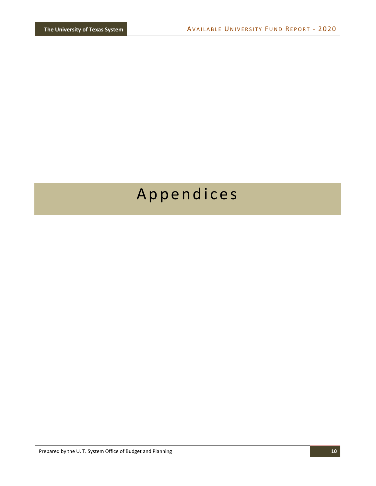# Appendices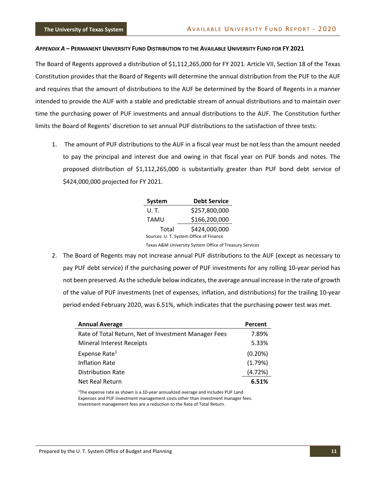#### *APPENDIX A* **– PERMANENT UNIVERSITY FUND DISTRIBUTION TO THE AVAILABLE UNIVERSITY FUND FOR FY 2021**

The Board of Regents approved a distribution of \$1,112,265,000 for FY 2021. Article VII, Section 18 of the Texas Constitution provides that the Board of Regents will determine the annual distribution from the PUF to the AUF and requires that the amount of distributions to the AUF be determined by the Board of Regents in a manner intended to provide the AUF with a stable and predictable stream of annual distributions and to maintain over time the purchasing power of PUF investments and annual distributions to the AUF. The Constitution further limits the Board of Regents' discretion to set annual PUF distributions to the satisfaction of three tests:

1. The amount of PUF distributions to the AUF in a fiscal year must be not less than the amount needed to pay the principal and interest due and owing in that fiscal year on PUF bonds and notes. The proposed distribution of \$1,112,265,000 is substantially greater than PUF bond debt service of \$424,000,000 projected for FY 2021.

| <b>System</b>                           | <b>Debt Service</b> |  |  |  |  |
|-----------------------------------------|---------------------|--|--|--|--|
| U. T.                                   | \$257,800,000       |  |  |  |  |
| TAMU                                    | \$166,200,000       |  |  |  |  |
| Total                                   | \$424,000,000       |  |  |  |  |
| Sources: U. T. System Office of Finance |                     |  |  |  |  |

Texas A&M University System Office of Treasury Services

2. The Board of Regents may not increase annual PUF distributions to the AUF (except as necessary to pay PUF debt service) if the purchasing power of PUF investments for any rolling 10‐year period has not been preserved. Asthe schedule below indicates, the average annual increase in the rate of growth of the value of PUF investments (net of expenses, inflation, and distributions) for the trailing 10‐year period ended February 2020, was 6.51%, which indicates that the purchasing power test was met.

| <b>Annual Average</b>                                | Percent    |
|------------------------------------------------------|------------|
| Rate of Total Return, Net of Investment Manager Fees | 7.89%      |
| <b>Mineral Interest Receipts</b>                     | 5.33%      |
| Expense Rate <sup>1</sup>                            | $(0.20\%)$ |
| <b>Inflation Rate</b>                                | (1.79%)    |
| <b>Distribution Rate</b>                             | (4.72%)    |
| Net Real Return                                      | 6.51%      |
|                                                      |            |

<sup>1</sup>The expense rate as shown is a 10-year annualized average and includes PUF Land Expenses and PUF investment management costs other than investment manager fees. Investment management fees are a reduction to the Rate of Total Return.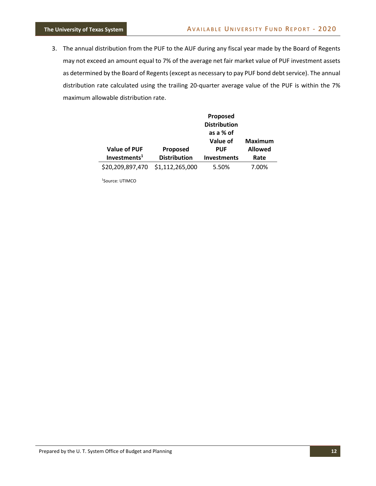3. The annual distribution from the PUF to the AUF during any fiscal year made by the Board of Regents may not exceed an amount equal to 7% of the average net fair market value of PUF investment assets as determined by the Board of Regents (except as necessary to pay PUF bond debt service). The annual distribution rate calculated using the trailing 20-quarter average value of the PUF is within the 7% maximum allowable distribution rate.

| <b>Value of PUF</b><br>Investments <sup>1</sup> | Proposed<br><b>Distribution</b> | Proposed<br><b>Distribution</b><br>as a % of<br>Value of<br><b>PUF</b><br><b>Investments</b> | Maximum<br><b>Allowed</b><br>Rate |
|-------------------------------------------------|---------------------------------|----------------------------------------------------------------------------------------------|-----------------------------------|
|                                                 |                                 |                                                                                              |                                   |
| \$20,209,897,470                                | \$1,112,265,000                 | 5.50%                                                                                        | 7.00%                             |

1 Source: UTIMCO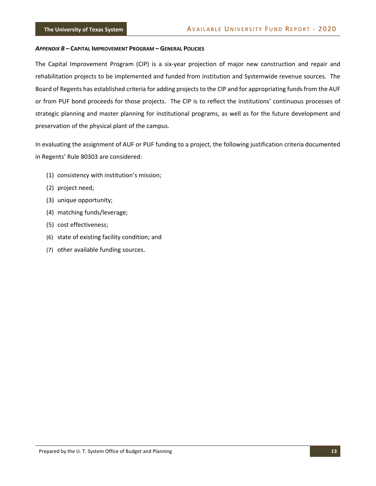#### *APPENDIX B* **– CAPITAL IMPROVEMENT PROGRAM – GENERAL POLICIES**

The Capital Improvement Program (CIP) is a six‐year projection of major new construction and repair and rehabilitation projects to be implemented and funded from institution and Systemwide revenue sources. The Board of Regents has established criteria for adding projects to the CIP and for appropriating funds from the AUF or from PUF bond proceeds for those projects. The CIP is to reflect the institutions' continuous processes of strategic planning and master planning for institutional programs, as well as for the future development and preservation of the physical plant of the campus.

In evaluating the assignment of AUF or PUF funding to a project, the following justification criteria documented in Regents' Rule 80303 are considered:

- (1) consistency with institution's mission;
- (2) project need;
- (3) unique opportunity;
- (4) matching funds/leverage;
- (5) cost effectiveness;
- (6) state of existing facility condition; and
- (7) other available funding sources.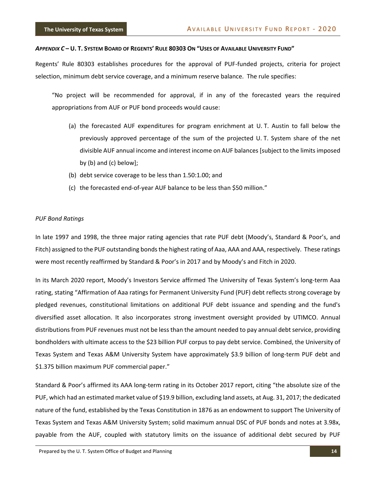#### *APPENDIX C* **– U. T. SYSTEM BOARD OF REGENTS' RULE 80303 ON "USES OF AVAILABLE UNIVERSITY FUND"**

Regents' Rule 80303 establishes procedures for the approval of PUF‐funded projects, criteria for project selection, minimum debt service coverage, and a minimum reserve balance. The rule specifies:

"No project will be recommended for approval, if in any of the forecasted years the required appropriations from AUF or PUF bond proceeds would cause:

- (a) the forecasted AUF expenditures for program enrichment at U. T. Austin to fall below the previously approved percentage of the sum of the projected U. T. System share of the net divisible AUF annual income and interest income on AUF balances [subject to the limits imposed by (b) and (c) below];
- (b) debt service coverage to be less than 1.50:1.00; and
- (c) the forecasted end‐of‐year AUF balance to be less than \$50 million."

#### *PUF Bond Ratings*

In late 1997 and 1998, the three major rating agencies that rate PUF debt (Moody's, Standard & Poor's, and Fitch) assigned to the PUF outstanding bonds the highest rating of Aaa, AAA and AAA, respectively. These ratings were most recently reaffirmed by Standard & Poor's in 2017 and by Moody's and Fitch in 2020.

In its March 2020 report, Moody's Investors Service affirmed The University of Texas System's long‐term Aaa rating, stating "Affirmation of Aaa ratings for Permanent University Fund (PUF) debt reflects strong coverage by pledged revenues, constitutional limitations on additional PUF debt issuance and spending and the fund's diversified asset allocation. It also incorporates strong investment oversight provided by UTIMCO. Annual distributions from PUF revenues must not be less than the amount needed to pay annual debt service, providing bondholders with ultimate access to the \$23 billion PUF corpus to pay debt service. Combined, the University of Texas System and Texas A&M University System have approximately \$3.9 billion of long-term PUF debt and \$1.375 billion maximum PUF commercial paper."

Standard & Poor's affirmed its AAA long‐term rating in its October 2017 report, citing "the absolute size of the PUF, which had an estimated market value of \$19.9 billion, excluding land assets, at Aug. 31, 2017; the dedicated nature of the fund, established by the Texas Constitution in 1876 as an endowment to support The University of Texas System and Texas A&M University System; solid maximum annual DSC of PUF bonds and notes at 3.98x, payable from the AUF, coupled with statutory limits on the issuance of additional debt secured by PUF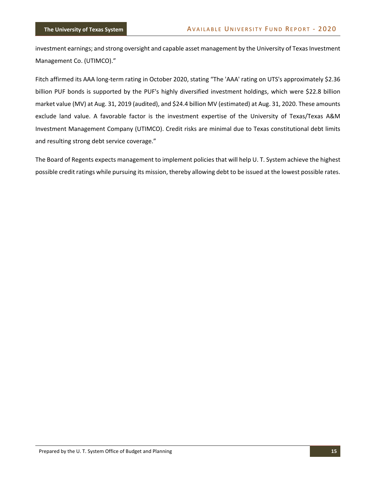investment earnings; and strong oversight and capable asset management by the University of Texas Investment Management Co. (UTIMCO)."

Fitch affirmed its AAA long-term rating in October 2020, stating "The 'AAA' rating on UTS's approximately \$2.36 billion PUF bonds is supported by the PUF's highly diversified investment holdings, which were \$22.8 billion market value (MV) at Aug. 31, 2019 (audited), and \$24.4 billion MV (estimated) at Aug. 31, 2020. These amounts exclude land value. A favorable factor is the investment expertise of the University of Texas/Texas A&M Investment Management Company (UTIMCO). Credit risks are minimal due to Texas constitutional debt limits and resulting strong debt service coverage."

The Board of Regents expects management to implement policies that will help U. T. System achieve the highest possible credit ratings while pursuing its mission, thereby allowing debt to be issued at the lowest possible rates.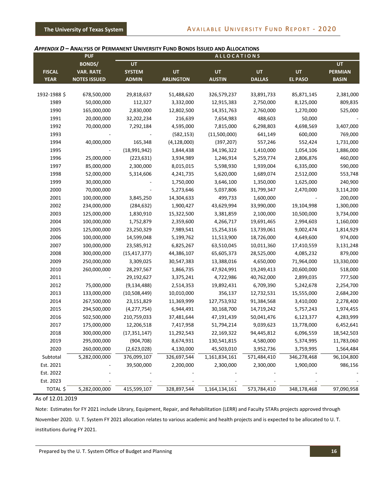#### *APPENDIX D* **– ANALYSIS OF PERMANENT UNIVERSITY FUND BONDS ISSUED AND ALLOCATIONS**

|               | <b>PUF</b>          |                |                  | <b>ALLOCATIONS</b> |               |                |                |
|---------------|---------------------|----------------|------------------|--------------------|---------------|----------------|----------------|
|               | <b>BONDS/</b>       | UT             |                  |                    |               |                | <b>UT</b>      |
| <b>FISCAL</b> | <b>VAR. RATE</b>    | <b>SYSTEM</b>  | <b>UT</b>        | <b>UT</b>          | <b>UT</b>     | <b>UT</b>      | <b>PERMIAN</b> |
| <b>YEAR</b>   | <b>NOTES ISSUED</b> | <b>ADMIN</b>   | <b>ARLINGTON</b> | <b>AUSTIN</b>      | <b>DALLAS</b> | <b>EL PASO</b> | <b>BASIN</b>   |
|               |                     |                |                  |                    |               |                |                |
| 1932-1988 \$  | 678,500,000         | 29,818,637     | 51,488,620       | 326,579,237        | 33,891,733    | 85,871,145     | 2,381,000      |
| 1989          | 50,000,000          | 112,327        | 3,332,000        | 12,915,383         | 2,750,000     | 8,125,000      | 809,835        |
| 1990          | 165,000,000         | 2,830,000      | 12,802,500       | 14,351,763         | 2,760,000     | 1,270,000      | 525,000        |
| 1991          | 20,000,000          | 32,202,234     | 216,639          | 7,654,983          | 488,603       | 50,000         |                |
| 1992          | 70,000,000          | 7,292,184      | 4,595,000        | 7,815,000          | 6,298,803     | 4,698,569      | 3,407,000      |
| 1993          |                     |                | (582, 153)       | (11,500,000)       | 641,149       | 600,000        | 769,000        |
| 1994          | 40,000,000          | 165,348        | (4, 128, 000)    | (397, 207)         | 557,246       | 552,424        | 1,731,000      |
| 1995          |                     | (18,991,942)   | 1,844,438        | 34,196,322         | 1,410,000     | 1,054,106      | 1,886,000      |
| 1996          | 25,000,000          | (223, 631)     | 3,934,989        | 1,246,914          | 5,259,774     | 2,806,876      | 460,000        |
| 1997          | 85,000,000          | 2,300,000      | 8,015,015        | 5,598,930          | 1,939,004     | 6,335,000      | 590,000        |
| 1998          | 52,000,000          | 5,314,606      | 4,241,735        | 5,620,000          | 1,689,074     | 2,512,000      | 553,748        |
| 1999          | 30,000,000          |                | 1,750,000        | 3,646,100          | 1,350,000     | 1,625,000      | 240,900        |
| 2000          | 70,000,000          |                | 5,273,646        | 5,037,806          | 31,799,347    | 2,470,000      | 3,114,200      |
| 2001          | 100,000,000         | 3,845,250      | 14,304,633       | 499,733            | 1,600,000     |                | 200,000        |
| 2002          | 234,000,000         | (284, 632)     | 1,900,427        | 43,629,994         | 33,990,000    | 19,104,998     | 1,300,000      |
| 2003          | 125,000,000         | 1,830,910      | 15,322,500       | 3,381,859          | 2,100,000     | 10,500,000     | 3,734,000      |
| 2004          | 100,000,000         | 1,752,879      | 2,359,600        | 4,266,717          | 19,691,465    | 2,994,603      | 1,160,000      |
| 2005          | 125,000,000         | 23,250,329     | 7,989,541        | 15,254,316         | 13,739,061    | 9,002,474      | 1,814,929      |
| 2006          | 100,000,000         | 14,599,048     | 5,199,762        | 11,513,900         | 18,726,000    | 4,649,600      | 974,000        |
| 2007          | 100,000,000         | 23,585,912     | 6,825,267        | 63,510,045         | 10,011,360    | 17,410,559     | 3,131,248      |
| 2008          | 300,000,000         | (15, 417, 377) | 44,386,107       | 65,605,373         | 28,525,000    | 4,085,232      | 879,000        |
| 2009          | 250,000,000         | 3,309,025      | 30,547,383       | 13,388,016         | 4,650,000     | 71,964,000     | 13,330,000     |
| 2010          | 260,000,000         | 28,297,567     | 1,866,735        | 47,924,991         | 19,249,413    | 20,600,000     | 518,000        |
| 2011          |                     | 29,192,627     | 3,375,241        | 4,722,986          | 40,762,000    | 2,899,035      | 777,500        |
| 2012          | 75,000,000          | (9, 134, 488)  | 2,514,353        | 19,892,431         | 6,709,390     | 5,242,678      | 2,254,700      |
| 2013          | 133,000,000         | (10,508,449)   | 10,010,000       | 356,137            | 12,732,531    | 15,555,000     | 2,684,200      |
| 2014          | 267,500,000         | 23,151,829     | 11,369,999       | 127,753,932        | 91,384,568    | 3,410,000      | 2,278,400      |
| 2015          | 294,500,000         | (4, 277, 754)  | 6,944,491        | 30,168,700         | 14,719,242    | 5,757,243      | 1,974,455      |
| 2016          | 502,500,000         | 210,759,033    | 37,481,644       | 47,191,439         | 50,041,476    | 6,123,377      | 4,283,999      |
| 2017          | 175,000,000         | 12,206,518     | 7,417,958        | 51,794,214         | 9,039,623     | 13,778,000     | 6,452,641      |
| 2018          | 300,000,000         | (17, 351, 147) | 11,292,543       | 22,169,322         | 94,445,812    | 6,096,559      | 18,542,503     |
| 2019          | 295,000,000         | (904, 708)     | 8,674,931        | 130,541,815        | 4,580,000     | 5,374,995      | 11,783,060     |
| 2020          | 260,000,000         | (2,623,028)    | 4,130,000        | 45,503,010         | 3,952,736     | 3,759,995      | 1,564,484      |
| Subtotal      | 5,282,000,000       | 376,099,107    | 326,697,544      | 1,161,834,161      | 571,484,410   | 346,278,468    | 96,104,800     |
| Est. 2021     |                     | 39,500,000     | 2,200,000        | 2,300,000          | 2,300,000     | 1,900,000      | 986,156        |
| Est. 2022     |                     |                |                  |                    |               |                |                |
| Est. 2023     |                     |                |                  |                    |               |                |                |
|               |                     |                |                  |                    |               |                |                |
| TOTAL \$      | 5,282,000,000       | 415,599,107    | 328,897,544      | 1,164,134,161      | 573,784,410   | 348,178,468    | 97,090,958     |

#### As of 12.01.2019

Note: Estimates for FY 2021 include Library, Equipment, Repair, and Rehabilitation (LERR) and Faculty STARs projects approved through November 2020. U. T. System FY 2021 allocation relates to various academic and health projects and is expected to be allocated to U. T. institutions during FY 2021.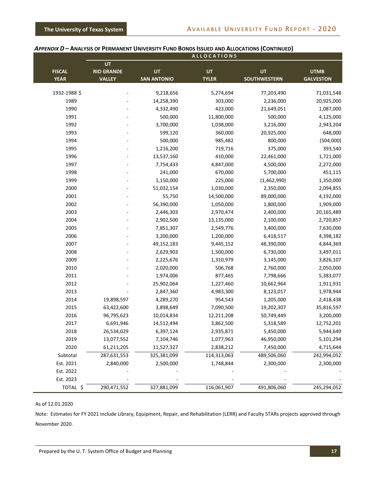|                              |                                          |                          | <b>ALLOCATIONS</b>        |                           |                                 |
|------------------------------|------------------------------------------|--------------------------|---------------------------|---------------------------|---------------------------------|
| <b>FISCAL</b><br><b>YEAR</b> | UT<br><b>RIO GRANDE</b><br><b>VALLEY</b> | UT<br><b>SAN ANTONIO</b> | <b>UT</b><br><b>TYLER</b> | UT<br><b>SOUTHWESTERN</b> | <b>UTMB</b><br><b>GALVESTON</b> |
| 1932-1988 \$                 |                                          | 9,218,656                | 5,274,694                 | 77,203,490                | 71,031,548                      |
| 1989                         |                                          | 14,258,390               | 303,000                   | 2,236,000                 | 20,925,000                      |
| 1990                         |                                          | 4,332,490                | 423,000                   | 21,649,051                | 1,087,000                       |
| 1991                         |                                          | 500,000                  | 11,800,000                | 500,000                   | 4,125,000                       |
| 1992                         |                                          | 3,700,000                | 1,038,000                 | 3,216,000                 | 2,943,204                       |
| 1993                         |                                          | 599,120                  | 360,000                   | 20,925,000                | 648,000                         |
| 1994                         |                                          | 500,000                  | 985,482                   | 800,000                   | (504,000)                       |
| 1995                         |                                          | 1,216,200                | 719,716                   | 375,000                   | 393,540                         |
| 1996                         |                                          | 13,537,160               | 410,000                   | 22,461,000                | 1,721,000                       |
| 1997                         |                                          | 7,754,433                | 4,847,000                 | 4,500,000                 | 2,272,000                       |
| 1998                         |                                          | 241,000                  | 670,000                   | 5,700,000                 | 451,115                         |
| 1999                         |                                          | 1,150,000                | 225,000                   | (1,462,990)               | 1,350,000                       |
| 2000                         |                                          | 51,032,154               | 1,030,000                 | 2,350,000                 | 2,094,855                       |
| 2001                         |                                          | 55,750                   | 14,500,000                | 89,000,000                | 4,192,000                       |
| 2002                         |                                          | 56,390,000               | 1,050,000                 | 1,800,000                 | 1,909,000                       |
| 2003                         |                                          | 2,446,303                | 2,970,474                 | 2,400,000                 | 20,165,489                      |
| 2004                         |                                          | 2,902,500                | 13,135,000                | 2,100,000                 | 2,720,857                       |
| 2005                         |                                          | 7,851,307                | 2,549,776                 | 3,400,000                 | 7,630,000                       |
| 2006                         |                                          | 3,200,000                | 1,200,000                 | 6,418,517                 | 4,398,182                       |
| 2007                         |                                          | 49,152,183               | 9,445,152                 | 48,390,000                | 4,844,369                       |
| 2008                         |                                          | 2,629,903                | 1,500,000                 | 6,730,000                 | 3,497,011                       |
| 2009                         |                                          | 2,225,676                | 1,310,979                 | 3,145,000                 | 3,826,107                       |
| 2010                         |                                          | 2,020,000                | 506,768                   | 2,760,000                 | 2,050,000                       |
| 2011                         |                                          | 1,974,006                | 877,465                   | 7,798,666                 | 5,383,077                       |
| 2012                         |                                          | 25,902,064               | 1,227,460                 | 10,662,964                | 1,911,931                       |
| 2013                         |                                          | 2,847,360                | 4,983,300                 | 8,123,017                 | 1,978,944                       |
| 2014                         | 19,898,597                               | 4,289,270                | 954,543                   | 1,205,000                 | 2,418,438                       |
| 2015                         | 63,422,600                               | 3,898,649                | 7,090,500                 | 19,202,307                | 35,816,597                      |
| 2016                         | 96,795,623                               | 10,014,834               | 12,211,208                | 50,749,449                | 3,200,000                       |
| 2017                         | 6,691,946                                | 14,512,494               | 3,862,500                 | 5,318,589                 | 12,752,201                      |
| 2018                         | 26,534,029                               | 6,397,124                | 2,935,871                 | 5,450,000                 | 5,944,649                       |
| 2019                         | 13,077,552                               | 7,104,746                | 1,077,963                 | 46,950,000                | 5,101,294                       |
| 2020                         | 61,211,205                               | 11,527,327               | 2,838,212                 | 7,450,000                 | 4,715,644                       |
| Subtotal                     | 287,631,553                              | 325,381,099              | 114,313,063               | 489,506,060               | 242,994,052                     |
| Est. 2021                    | 2,840,000                                | 2,500,000                | 1,748,844                 | 2,300,000                 | 2,300,000                       |
| Est. 2022                    |                                          |                          |                           |                           |                                 |
| Est. 2023                    |                                          |                          |                           |                           |                                 |
| TOTAL \$                     | 290,471,552                              | 327,881,099              | 116,061,907               | 491,806,060               | 245,294,052                     |

#### *APPENDIX D* **– ANALYSIS OF PERMANENT UNIVERSITY FUND BONDS ISSUED AND ALLOCATIONS (CONTINUED)**

As of 12.01.2020

Note: Estimates for FY 2021 include Library, Equipment, Repair, and Rehabilitation (LERR) and Faculty STARs projects approved through November 2020.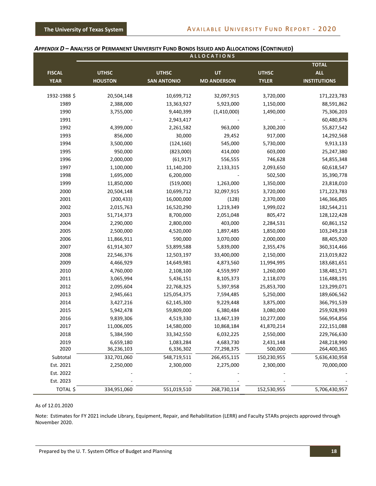|               |                |                    | <b>ALLOCATIONS</b> |              |                     |
|---------------|----------------|--------------------|--------------------|--------------|---------------------|
|               |                |                    |                    |              | <b>TOTAL</b>        |
| <b>FISCAL</b> | <b>UTHSC</b>   | <b>UTHSC</b>       | UT                 | <b>UTHSC</b> | <b>ALL</b>          |
| <b>YEAR</b>   | <b>HOUSTON</b> | <b>SAN ANTONIO</b> | <b>MD ANDERSON</b> | <b>TYLER</b> | <b>INSTITUTIONS</b> |
| 1932-1988 \$  | 20,504,148     | 10,699,712         | 32,097,915         | 3,720,000    | 171,223,783         |
| 1989          | 2,388,000      | 13,363,927         | 5,923,000          | 1,150,000    | 88,591,862          |
| 1990          | 3,755,000      | 9,440,399          | (1,410,000)        | 1,490,000    | 75,306,203          |
| 1991          |                | 2,943,417          |                    |              | 60,480,876          |
| 1992          | 4,399,000      | 2,261,582          | 963,000            | 3,200,200    | 55,827,542          |
| 1993          | 856,000        | 30,000             | 29,452             | 917,000      | 14,292,568          |
| 1994          | 3,500,000      | (124, 160)         | 545,000            | 5,730,000    | 9,913,133           |
| 1995          | 950,000        | (823,000)          | 414,000            | 603,000      | 25,247,380          |
| 1996          | 2,000,000      | (61, 917)          | 556,555            | 746,628      | 54,855,348          |
| 1997          | 1,100,000      | 11,140,200         | 2,133,315          | 2,093,650    | 60,618,547          |
| 1998          | 1,695,000      | 6,200,000          |                    | 502,500      | 35,390,778          |
| 1999          | 11,850,000     | (519,000)          | 1,263,000          | 1,350,000    | 23,818,010          |
| 2000          | 20,504,148     | 10,699,712         | 32,097,915         | 3,720,000    | 171,223,783         |
| 2001          | (200, 433)     | 16,000,000         | (128)              | 2,370,000    | 146,366,805         |
| 2002          | 2,015,763      | 16,520,290         | 1,219,349          | 1,999,022    | 182,544,211         |
| 2003          | 51,714,373     | 8,700,000          | 2,051,048          | 805,472      | 128,122,428         |
| 2004          | 2,290,000      | 2,800,000          | 403,000            | 2,284,531    | 60,861,152          |
| 2005          | 2,500,000      | 4,520,000          | 1,897,485          | 1,850,000    | 103,249,218         |
| 2006          | 11,866,911     | 590,000            | 3,070,000          | 2,000,000    | 88,405,920          |
| 2007          | 61,914,307     | 53,899,588         | 5,839,000          | 2,355,476    | 360,314,466         |
| 2008          | 22,546,376     | 12,503,197         | 33,400,000         | 2,150,000    | 213,019,822         |
| 2009          | 4,466,929      | 14,649,981         | 4,873,560          | 11,994,995   | 183,681,651         |
| 2010          | 4,760,000      | 2,108,100          | 4,559,997          | 1,260,000    | 138,481,571         |
| 2011          | 3,065,994      | 5,436,151          | 8,105,373          | 2,118,070    | 116,488,191         |
| 2012          | 2,095,604      | 22,768,325         | 5,397,958          | 25,853,700   | 123,299,071         |
| 2013          | 2,945,661      | 125,054,375        | 7,594,485          | 5,250,000    | 189,606,562         |
| 2014          | 3,427,216      | 62,145,300         | 9,229,448          | 3,875,000    | 366,791,539         |
| 2015          | 5,942,478      | 59,809,000         | 6,380,484          | 3,080,000    | 259,928,993         |
| 2016          | 9,839,306      | 4,519,330          | 13,467,139         | 10,277,000   | 566,954,856         |
| 2017          | 11,006,005     | 14,580,000         | 10,868,184         | 41,870,214   | 222,151,088         |
| 2018          | 5,384,590      | 33,342,550         | 6,032,225          | 2,550,000    | 229,766,630         |
| 2019          | 6,659,180      | 1,083,284          | 4,683,730          | 2,431,148    | 248,218,990         |
| 2020          | 36,236,103     | 6,336,302          | 77,298,375         | 500,000      | 264,400,365         |
| Subtotal      | 332,701,060    | 548,719,511        | 266,455,115        | 150,230,955  | 5,636,430,958       |
| Est. 2021     | 2,250,000      | 2,300,000          | 2,275,000          | 2,300,000    | 70,000,000          |
| Est. 2022     |                |                    |                    |              |                     |
| Est. 2023     |                |                    |                    |              |                     |
| TOTAL \$      | 334,951,060    | 551,019,510        | 268,730,114        | 152,530,955  | 5,706,430,957       |

#### *APPENDIX D* **– ANALYSIS OF PERMANENT UNIVERSITY FUND BONDS ISSUED AND ALLOCATIONS (CONTINUED)**

#### As of 12.01.2020

Note: Estimates for FY 2021 include Library, Equipment, Repair, and Rehabilitation (LERR) and Faculty STARs projects approved through November 2020.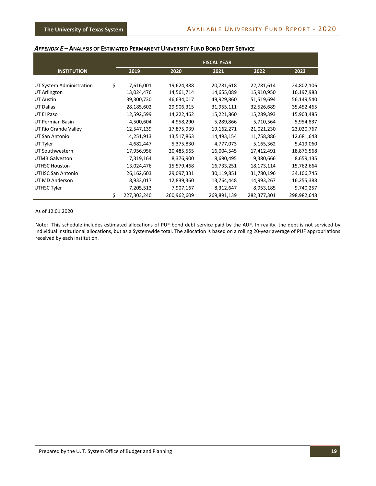#### *APPENDIX E* **– ANALYSIS OF ESTIMATED PERMANENT UNIVERSITY FUND BOND DEBT SERVICE**

|                          | <b>FISCAL YEAR</b> |             |             |             |             |
|--------------------------|--------------------|-------------|-------------|-------------|-------------|
| <b>INSTITUTION</b>       | 2019               | 2020        | 2021        | 2022        | 2023        |
|                          |                    |             |             |             |             |
| UT System Administration | \$<br>17,616,001   | 19,624,388  | 20,781,618  | 22,781,614  | 24,802,106  |
| UT Arlington             | 13,024,476         | 14,561,714  | 14,655,089  | 15,910,950  | 16,197,983  |
| <b>UT Austin</b>         | 39,300,730         | 46,634,017  | 49,929,860  | 51,519,694  | 56,149,540  |
| UT Dallas                | 28,185,602         | 29,906,315  | 31,955,111  | 32,526,689  | 35,452,465  |
| UT El Paso               | 12,592,599         | 14,222,462  | 15,221,860  | 15,289,393  | 15,903,485  |
| UT Permian Basin         | 4,500,604          | 4,958,290   | 5,289,866   | 5,710,564   | 5,954,837   |
| UT Rio Grande Valley     | 12,547,139         | 17,875,939  | 19,162,271  | 21,021,230  | 23,020,767  |
| UT San Antonio           | 14,251,913         | 13,517,863  | 14,493,154  | 11,758,886  | 12,681,648  |
| UT Tyler                 | 4,682,447          | 5,375,830   | 4,777,073   | 5,165,362   | 5,419,060   |
| UT Southwestern          | 17,956,956         | 20,485,565  | 16,004,545  | 17,412,491  | 18,876,568  |
| <b>UTMB Galveston</b>    | 7,319,164          | 8,376,900   | 8,690,495   | 9,380,666   | 8,659,135   |
| UTHSC Houston            | 13,024,476         | 15,579,468  | 16,733,251  | 18,173,114  | 15,762,664  |
| UTHSC San Antonio        | 26,162,603         | 29,097,331  | 30,119,851  | 31,780,196  | 34,106,745  |
| UT MD Anderson           | 8,933,017          | 12,839,360  | 13,764,448  | 14,993,267  | 16,255,388  |
| UTHSC Tyler              | 7,205,513          | 7,907,167   | 8,312,647   | 8,953,185   | 9,740,257   |
|                          | 227,303,240        | 260,962,609 | 269,891,139 | 282,377,301 | 298,982,648 |

#### As of 12.01.2020

Note: This schedule includes estimated allocations of PUF bond debt service paid by the AUF. In reality, the debt is not serviced by individual institutional allocations, but as a Systemwide total. The allocation is based on a rolling 20‐year average of PUF appropriations received by each institution.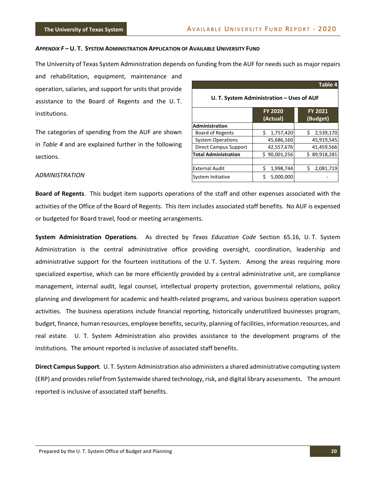#### *APPENDIX F* **– U. T. SYSTEM ADMINISTRATION APPLICATION OF AVAILABLE UNIVERSITY FUND**

The University of Texas System Administration depends on funding from the AUF for needs such as major repairs

and rehabilitation, equipment, maintenance and operation, salaries, and support for units that provide assistance to the Board of Regents and the U. T. institutions.

The categories of spending from the AUF are shown in *Table 4* and are explained further in the following sections.

|                                           |                            | Table 4                    |  |  |
|-------------------------------------------|----------------------------|----------------------------|--|--|
| U. T. System Administration - Uses of AUF |                            |                            |  |  |
|                                           | <b>FY 2020</b><br>(Actual) | <b>FY 2021</b><br>(Budget) |  |  |
| <b>Administration</b>                     |                            |                            |  |  |
| <b>Board of Regents</b>                   | Ś.<br>1,757,420            | Ś.<br>2,539,170            |  |  |
| <b>System Operations</b>                  | 45,686,160                 | 45,919,545                 |  |  |
| <b>Direct Campus Support</b>              | 42,557,676                 | 41,459,566                 |  |  |
| <b>Total Administration</b>               | \$90,001,256               | \$89,918,281               |  |  |
|                                           |                            |                            |  |  |
| <b>External Audit</b>                     | Ś<br>1,998,744             | Ś<br>2,081,719             |  |  |
| System Initiative                         | Ś<br>5,000,000             |                            |  |  |

#### *ADMINISTRATION*

**Board of Regents**. This budget item supports operations of the staff and other expenses associated with the activities of the Office of the Board of Regents. This item includes associated staff benefits. No AUF is expensed or budgeted for Board travel, food or meeting arrangements.

**System Administration Operations**. As directed by *Texas Education Code* Section 65.16, U. T. System Administration is the central administrative office providing oversight, coordination, leadership and administrative support for the fourteen institutions of the U. T. System. Among the areas requiring more specialized expertise, which can be more efficiently provided by a central administrative unit, are compliance management, internal audit, legal counsel, intellectual property protection, governmental relations, policy planning and development for academic and health‐related programs, and various business operation support activities. The business operations include financial reporting, historically underutilized businesses program, budget, finance, human resources, employee benefits, security, planning of facilities, information resources, and real estate. U. T. System Administration also provides assistance to the development programs of the institutions. The amount reported is inclusive of associated staff benefits.

**Direct Campus Support**. U. T. System Administration also administers a shared administrative computing system (ERP) and provides relief from Systemwide shared technology, risk, and digital library assessments. The amount reported is inclusive of associated staff benefits.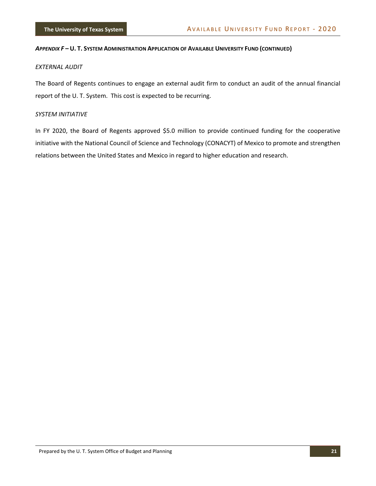#### *APPENDIX F –* **U. T. SYSTEM ADMINISTRATION APPLICATION OF AVAILABLE UNIVERSITY FUND (CONTINUED)**

#### *EXTERNAL AUDIT*

The Board of Regents continues to engage an external audit firm to conduct an audit of the annual financial report of the U. T. System. This cost is expected to be recurring.

#### *SYSTEM INITIATIVE*

In FY 2020, the Board of Regents approved \$5.0 million to provide continued funding for the cooperative initiative with the National Council of Science and Technology (CONACYT) of Mexico to promote and strengthen relations between the United States and Mexico in regard to higher education and research.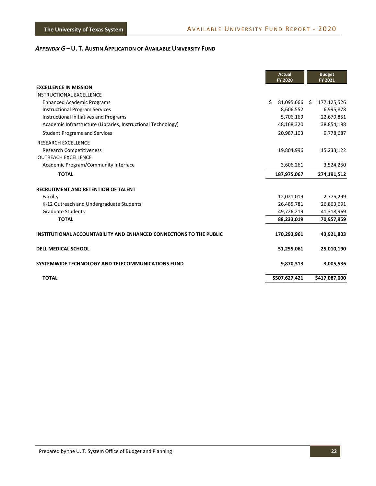|                                                                     | <b>Actual</b><br><b>FY 2020</b> | <b>Budget</b><br>FY 2021 |
|---------------------------------------------------------------------|---------------------------------|--------------------------|
| <b>EXCELLENCE IN MISSION</b>                                        |                                 |                          |
| <b>INSTRUCTIONAL EXCELLENCE</b>                                     |                                 |                          |
| <b>Enhanced Academic Programs</b>                                   | Ś.<br>81,095,666 \$             | 177,125,526              |
| <b>Instructional Program Services</b>                               | 8,606,552                       | 6,995,878                |
| Instructional Initiatives and Programs                              | 5,706,169                       | 22,679,851               |
| Academic Infrastructure (Libraries, Instructional Technology)       | 48,168,320                      | 38,854,198               |
| <b>Student Programs and Services</b>                                | 20,987,103                      | 9,778,687                |
| <b>RESEARCH EXCELLENCE</b>                                          |                                 |                          |
| <b>Research Competitiveness</b>                                     | 19,804,996                      | 15,233,122               |
| <b>OUTREACH EXCELLENCE</b>                                          |                                 |                          |
| Academic Program/Community Interface                                | 3,606,261                       | 3,524,250                |
| <b>TOTAL</b>                                                        | 187,975,067                     | 274,191,512              |
| <b>RECRUITMENT AND RETENTION OF TALENT</b>                          |                                 |                          |
| Faculty                                                             | 12,021,019                      | 2,775,299                |
| K-12 Outreach and Undergraduate Students                            | 26,485,781                      | 26,863,691               |
| <b>Graduate Students</b>                                            | 49,726,219                      | 41,318,969               |
| <b>TOTAL</b>                                                        | 88,233,019                      | 70,957,959               |
| INSTITUTIONAL ACCOUNTABILITY AND ENHANCED CONNECTIONS TO THE PUBLIC | 170,293,961                     | 43,921,803               |
| <b>DELL MEDICAL SCHOOL</b>                                          | 51,255,061                      | 25,010,190               |
| SYSTEMWIDE TECHNOLOGY AND TELECOMMUNICATIONS FUND                   | 9,870,313                       | 3,005,536                |
| <b>TOTAL</b>                                                        | \$507,627,421                   | \$417,087,000            |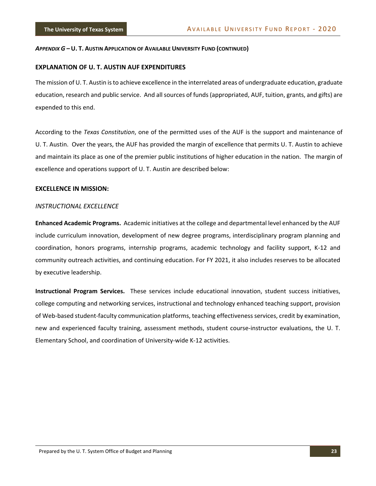#### **EXPLANATION OF U. T. AUSTIN AUF EXPENDITURES**

The mission of U. T. Austin isto achieve excellence in the interrelated areas of undergraduate education, graduate education, research and public service. And all sources of funds (appropriated, AUF, tuition, grants, and gifts) are expended to this end.

According to the *Texas Constitution*, one of the permitted uses of the AUF is the support and maintenance of U. T. Austin. Over the years, the AUF has provided the margin of excellence that permits U. T. Austin to achieve and maintain its place as one of the premier public institutions of higher education in the nation. The margin of excellence and operations support of U. T. Austin are described below:

#### **EXCELLENCE IN MISSION:**

#### *INSTRUCTIONAL EXCELLENCE*

**Enhanced Academic Programs.** Academic initiatives at the college and departmental level enhanced by the AUF include curriculum innovation, development of new degree programs, interdisciplinary program planning and coordination, honors programs, internship programs, academic technology and facility support, K‐12 and community outreach activities, and continuing education. For FY 2021, it also includes reserves to be allocated by executive leadership.

**Instructional Program Services.** These services include educational innovation, student success initiatives, college computing and networking services, instructional and technology enhanced teaching support, provision of Web‐based student‐faculty communication platforms, teaching effectiveness services, credit by examination, new and experienced faculty training, assessment methods, student course-instructor evaluations, the U.T. Elementary School, and coordination of University‐wide K‐12 activities.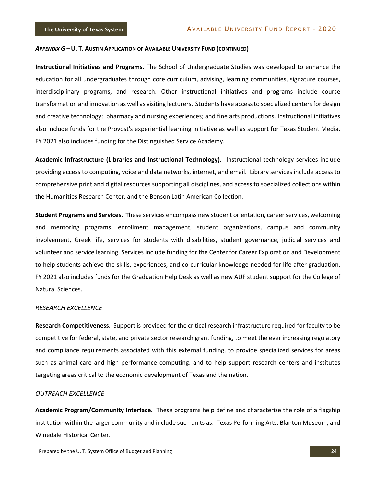**Instructional Initiatives and Programs.** The School of Undergraduate Studies was developed to enhance the education for all undergraduates through core curriculum, advising, learning communities, signature courses, interdisciplinary programs, and research. Other instructional initiatives and programs include course transformation and innovation as well as visiting lecturers. Students have accessto specialized centersfor design and creative technology; pharmacy and nursing experiences; and fine arts productions. Instructional initiatives also include funds for the Provost's experiential learning initiative as well as support for Texas Student Media. FY 2021 also includes funding for the Distinguished Service Academy.

**Academic Infrastructure (Libraries and Instructional Technology).** Instructional technology services include providing access to computing, voice and data networks, internet, and email. Library services include access to comprehensive print and digital resources supporting all disciplines, and access to specialized collections within the Humanities Research Center, and the Benson Latin American Collection.

**Student Programs and Services.** These services encompass new student orientation, career services, welcoming and mentoring programs, enrollment management, student organizations, campus and community involvement, Greek life, services for students with disabilities, student governance, judicial services and volunteer and service learning. Services include funding for the Center for Career Exploration and Development to help students achieve the skills, experiences, and co-curricular knowledge needed for life after graduation. FY 2021 also includes funds for the Graduation Help Desk as well as new AUF student support for the College of Natural Sciences.

#### *RESEARCH EXCELLENCE*

**Research Competitiveness.** Support is provided for the critical research infrastructure required for faculty to be competitive for federal, state, and private sector research grant funding, to meet the ever increasing regulatory and compliance requirements associated with this external funding, to provide specialized services for areas such as animal care and high performance computing, and to help support research centers and institutes targeting areas critical to the economic development of Texas and the nation.

#### *OUTREACH EXCELLENCE*

**Academic Program/Community Interface.** These programs help define and characterize the role of a flagship institution within the larger community and include such units as: Texas Performing Arts, Blanton Museum, and Winedale Historical Center.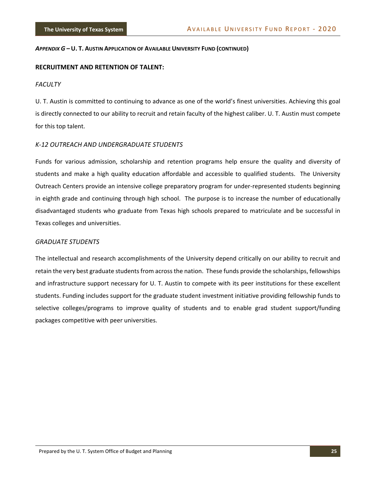#### **RECRUITMENT AND RETENTION OF TALENT:**

#### *FACULTY*

U. T. Austin is committed to continuing to advance as one of the world's finest universities. Achieving this goal is directly connected to our ability to recruit and retain faculty of the highest caliber. U. T. Austin must compete for this top talent.

#### *K‐12 OUTREACH AND UNDERGRADUATE STUDENTS*

Funds for various admission, scholarship and retention programs help ensure the quality and diversity of students and make a high quality education affordable and accessible to qualified students. The University Outreach Centers provide an intensive college preparatory program for under‐represented students beginning in eighth grade and continuing through high school. The purpose is to increase the number of educationally disadvantaged students who graduate from Texas high schools prepared to matriculate and be successful in Texas colleges and universities.

#### *GRADUATE STUDENTS*

The intellectual and research accomplishments of the University depend critically on our ability to recruit and retain the very best graduate students from across the nation. These funds provide the scholarships, fellowships and infrastructure support necessary for U. T. Austin to compete with its peer institutions for these excellent students. Funding includes support for the graduate student investment initiative providing fellowship funds to selective colleges/programs to improve quality of students and to enable grad student support/funding packages competitive with peer universities.